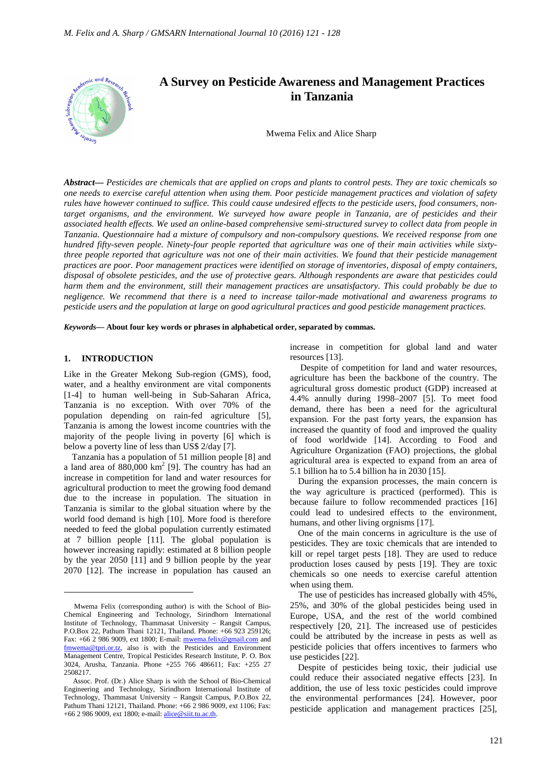

*Abstract***—** *Pesticides are chemicals that are applied on crops and plants to control pests. They are toxic chemicals so one needs to exercise careful attention when using them. Poor pesticide management practices and violation of safety rules have however continued to suffice. This could cause undesired effects to the pesticide users, food consumers, nontarget organisms, and the environment. We surveyed how aware people in Tanzania, are of pesticides and their associated health effects. We used an online-based comprehensive semi-structured survey to collect data from people in Tanzania. Questionnaire had a mixture of compulsory and non-compulsory questions. We received response from one hundred fifty-seven people. Ninety-four people reported that agriculture was one of their main activities while sixtythree people reported that agriculture was not one of their main activities. We found that their pesticide management practices are poor. Poor management practices were identified on storage of inventories, disposal of empty containers, disposal of obsolete pesticides, and the use of protective gears. Although respondents are aware that pesticides could harm them and the environment, still their management practices are unsatisfactory. This could probably be due to negligence. We recommend that there is a need to increase tailor-made motivational and awareness programs to pesticide users and the population at large on good agricultural practices and good pesticide management practices.*

*Keywords***— About four key words or phrases in alphabetical order, separated by commas.**

## **1. INTRODUCTION**

 $\overline{a}$ 

Like in the Greater Mekong Sub-region (GMS), food, water, and a healthy environment are vital components [1-4] to human well-being in Sub-Saharan Africa, Tanzania is no exception. With over 70% of the population depending on rain-fed agriculture [5], Tanzania is among the lowest income countries with the majority of the people living in poverty [6] which is below a poverty line of less than US\$ 2/day [7].

Tanzania has a population of 51 million people [8] and a land area of  $880,000 \text{ km}^2$  [9]. The country has had an increase in competition for land and water resources for agricultural production to meet the growing food demand due to the increase in population. The situation in Tanzania is similar to the global situation where by the world food demand is high [10]. More food is therefore needed to feed the global population currently estimated at 7 billion people [11]. The global population is however increasing rapidly: estimated at 8 billion people by the year 2050 [11] and 9 billion people by the year 2070 [12]. The increase in population has caused an

increase in competition for global land and water resources [13].

 Despite of competition for land and water resources, agriculture has been the backbone of the country. The agricultural gross domestic product (GDP) increased at 4.4% annully during 1998–2007 [5]. To meet food demand, there has been a need for the agricultural expansion. For the past forty years, the expansion has increased the quantity of food and improved the quality of food worldwide [14]. According to Food and Agriculture Organization (FAO) projections, the global agricultural area is expected to expand from an area of 5.1 billion ha to 5.4 billion ha in 2030 [15].

During the expansion processes, the main concern is the way agriculture is practiced (performed). This is because failure to follow recommended practices [16] could lead to undesired effects to the environment, humans, and other living orgnisms [17].

One of the main concerns in agriculture is the use of pesticides. They are toxic chemicals that are intended to kill or repel target pests [18]. They are used to reduce production loses caused by pests [19]. They are toxic chemicals so one needs to exercise careful attention when using them.

The use of pesticides has increased globally with 45%, 25%, and 30% of the global pesticides being used in Europe, USA, and the rest of the world combined respectively [20, 21]. The increased use of pesticides could be attributed by the increase in pests as well as pesticide policies that offers incentives to farmers who use pesticides [22].

Despite of pesticides being toxic, their judicial use could reduce their associated negative effects [23]. In addition, the use of less toxic pesticides could improve the environmental performances [24]. However, poor pesticide application and management practices [25],

Mwema Felix (corresponding author) is with the School of Bio-Chemical Engineering and Technology, Sirindhorn International Institute of Technology, Thammasat University – Rangsit Campus, P.O.Box 22, Pathum Thani 12121, Thailand. Phone: +66 923 259126; Fax: +66 2 986 9009, ext 1800; E-mail: mwema.felix@gmail.com and fmwema@tpri.or.tz, also is with the Pesticides and Environment Management Centre, Tropical Pesticides Research Institute, P. O. Box 3024, Arusha, Tanzania. Phone +255 766 486611; Fax: +255 27 2508217.

Assoc. Prof. (Dr.) Alice Sharp is with the School of Bio-Chemical Engineering and Technology, Sirindhorn International Institute of Technology, Thammasat University – Rangsit Campus, P.O.Box 22, Pathum Thani 12121, Thailand. Phone: +66 2 986 9009, ext 1106; Fax: +66 2 986 9009, ext 1800; e-mail: alice@siit.tu.ac.th.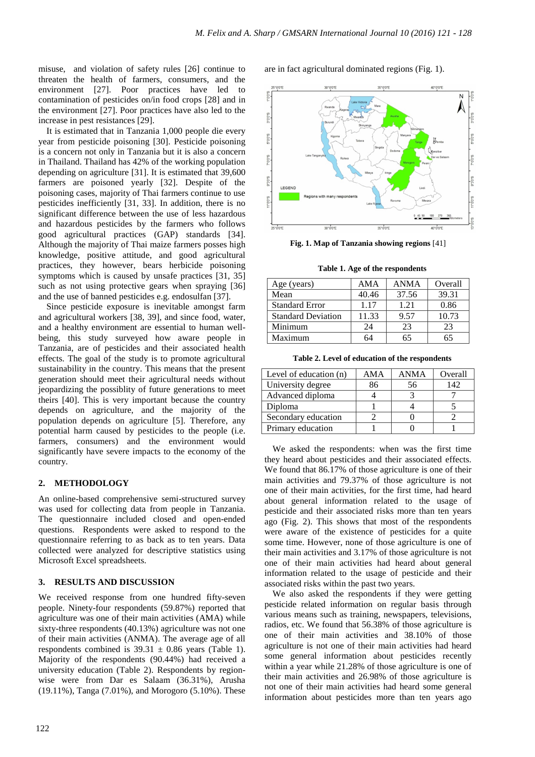misuse, and violation of safety rules [26] continue to threaten the health of farmers, consumers, and the environment [27]. Poor practices have led to contamination of pesticides on/in food crops [28] and in the environment [27]. Poor practices have also led to the increase in pest resistances [29].

It is estimated that in Tanzania 1,000 people die every year from pesticide poisoning [30]. Pesticide poisoning is a concern not only in Tanzania but it is also a concern in Thailand. Thailand has 42% of the working population depending on agriculture [31]. It is estimated that 39,600 farmers are poisoned yearly [32]. Despite of the poisoning cases, majority of Thai farmers continue to use pesticides inefficiently [31, 33]. In addition, there is no significant difference between the use of less hazardous and hazardous pesticides by the farmers who follows good agricultural practices (GAP) standards [34]. Although the majority of Thai maize farmers posses high knowledge, positive attitude, and good agricultural practices, they however, bears herbicide poisoning symptoms which is caused by unsafe practices [31, 35] such as not using protective gears when spraying [36] and the use of banned pesticides e.g. endosulfan [37].

Since pesticide exposure is inevitable amongst farm and agricultural workers [38, 39], and since food, water, and a healthy environment are essential to human wellbeing, this study surveyed how aware people in Tanzania, are of pesticides and their associated health effects. The goal of the study is to promote agricultural sustainability in the country. This means that the present generation should meet their agricultural needs without jeopardizing the possiblity of future generations to meet theirs [40]. This is very important because the country depends on agriculture, and the majority of the population depends on agriculture [5]. Therefore, any potential harm caused by pesticides to the people (i.e. farmers, consumers) and the environment would significantly have severe impacts to the economy of the country.

### **2. METHODOLOGY**

An online-based comprehensive semi-structured survey was used for collecting data from people in Tanzania. The questionnaire included closed and open-ended questions. Respondents were asked to respond to the questionnaire referring to as back as to ten years. Data collected were analyzed for descriptive statistics using Microsoft Excel spreadsheets.

### **3. RESULTS AND DISCUSSION**

We received response from one hundred fifty-seven people. Ninety-four respondents (59.87%) reported that agriculture was one of their main activities (AMA) while sixty-three respondents (40.13%) agriculture was not one of their main activities (ANMA). The average age of all respondents combined is  $39.31 \pm 0.86$  years (Table 1). Majority of the respondents (90.44%) had received a university education (Table 2). Respondents by regionwise were from Dar es Salaam (36.31%), Arusha (19.11%), Tanga (7.01%), and Morogoro (5.10%). These

122

are in fact agricultural dominated regions (Fig. 1).



**Fig. 1. Map of Tanzania showing regions** [41]

| Age (years)               | AMA   | <b>ANMA</b> | Overall |
|---------------------------|-------|-------------|---------|
| Mean                      | 40.46 | 37.56       | 39.31   |
| <b>Standard Error</b>     | 1.17  | 1.21        | 0.86    |
| <b>Standard Deviation</b> | 11.33 | 9.57        | 10.73   |
| Minimum                   | 24    | 23          | 23      |
| Maximum                   | 64    | 65          |         |

**Table 1. Age of the respondents** 

|  |  |  |  | Table 2. Level of education of the respondents |
|--|--|--|--|------------------------------------------------|
|--|--|--|--|------------------------------------------------|

| Level of education $(n)$ | AMA | <b>ANMA</b> | Overall |
|--------------------------|-----|-------------|---------|
| University degree        | 86  | 56          | 142     |
| Advanced diploma         |     |             |         |
| Diploma                  |     |             |         |
| Secondary education      |     |             |         |
| Primary education        |     |             |         |

We asked the respondents: when was the first time they heard about pesticides and their associated effects. We found that 86.17% of those agriculture is one of their main activities and 79.37% of those agriculture is not one of their main activities, for the first time, had heard about general information related to the usage of pesticide and their associated risks more than ten years ago (Fig. 2). This shows that most of the respondents were aware of the existence of pesticides for a quite some time. However, none of those agriculture is one of their main activities and 3.17% of those agriculture is not one of their main activities had heard about general information related to the usage of pesticide and their associated risks within the past two years.

We also asked the respondents if they were getting pesticide related information on regular basis through various means such as training, newspapers, televisions, radios, etc. We found that 56.38% of those agriculture is one of their main activities and 38.10% of those agriculture is not one of their main activities had heard some general information about pesticides recently within a year while 21.28% of those agriculture is one of their main activities and 26.98% of those agriculture is not one of their main activities had heard some general information about pesticides more than ten years ago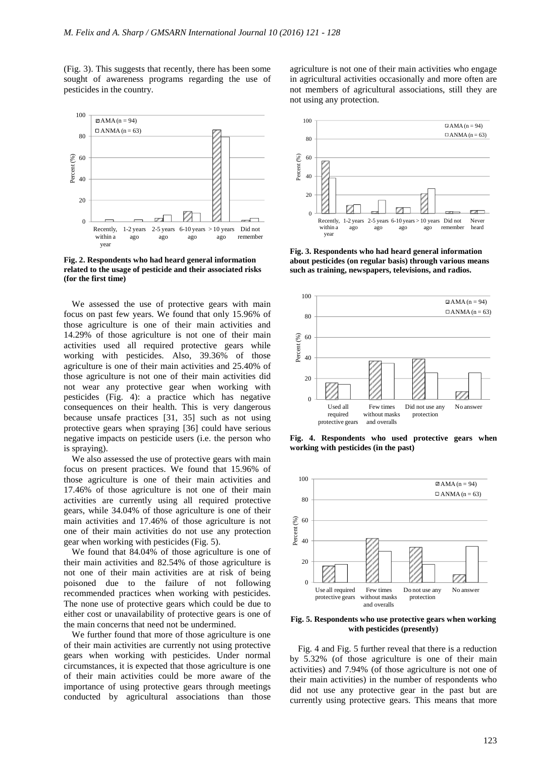(Fig. 3). This suggests that recently, there has been some sought of awareness programs regarding the use of pesticides in the country.



**Fig. 2. Respondents who had heard general information related to the usage of pesticide and their associated risks (for the first time)** 

We assessed the use of protective gears with main focus on past few years. We found that only 15.96% of those agriculture is one of their main activities and 14.29% of those agriculture is not one of their main activities used all required protective gears while working with pesticides. Also, 39.36% of those agriculture is one of their main activities and 25.40% of those agriculture is not one of their main activities did not wear any protective gear when working with pesticides (Fig. 4): a practice which has negative consequences on their health. This is very dangerous because unsafe practices [31, 35] such as not using protective gears when spraying [36] could have serious negative impacts on pesticide users (i.e. the person who is spraying).

We also assessed the use of protective gears with main focus on present practices. We found that 15.96% of those agriculture is one of their main activities and 17.46% of those agriculture is not one of their main activities are currently using all required protective gears, while 34.04% of those agriculture is one of their main activities and 17.46% of those agriculture is not one of their main activities do not use any protection gear when working with pesticides (Fig. 5).

We found that 84.04% of those agriculture is one of their main activities and 82.54% of those agriculture is not one of their main activities are at risk of being poisoned due to the failure of not following recommended practices when working with pesticides. The none use of protective gears which could be due to either cost or unavailability of protective gears is one of the main concerns that need not be undermined.

We further found that more of those agriculture is one of their main activities are currently not using protective gears when working with pesticides. Under normal circumstances, it is expected that those agriculture is one of their main activities could be more aware of the importance of using protective gears through meetings conducted by agricultural associations than those agriculture is not one of their main activities who engage in agricultural activities occasionally and more often are not members of agricultural associations, still they are not using any protection.



**Fig. 3. Respondents who had heard general information about pesticides (on regular basis) through various means such as training, newspapers, televisions, and radios.** 



**Fig. 4. Respondents who used protective gears when working with pesticides (in the past)** 



**Fig. 5. Respondents who use protective gears when working with pesticides (presently)** 

Fig. 4 and Fig. 5 further reveal that there is a reduction by 5.32% (of those agriculture is one of their main activities) and 7.94% (of those agriculture is not one of their main activities) in the number of respondents who did not use any protective gear in the past but are currently using protective gears. This means that more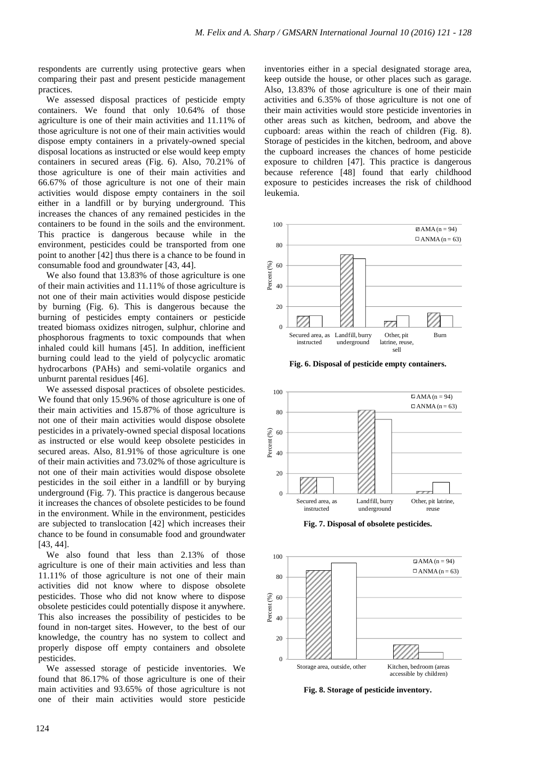respondents are currently using protective gears when comparing their past and present pesticide management practices.

We assessed disposal practices of pesticide empty containers. We found that only 10.64% of those agriculture is one of their main activities and 11.11% of those agriculture is not one of their main activities would dispose empty containers in a privately-owned special disposal locations as instructed or else would keep empty containers in secured areas (Fig. 6). Also, 70.21% of those agriculture is one of their main activities and 66.67% of those agriculture is not one of their main activities would dispose empty containers in the soil either in a landfill or by burying underground. This increases the chances of any remained pesticides in the containers to be found in the soils and the environment. This practice is dangerous because while in the environment, pesticides could be transported from one point to another [42] thus there is a chance to be found in consumable food and groundwater [43, 44].

We also found that 13.83% of those agriculture is one of their main activities and 11.11% of those agriculture is not one of their main activities would dispose pesticide by burning (Fig. 6). This is dangerous because the burning of pesticides empty containers or pesticide treated biomass oxidizes nitrogen, sulphur, chlorine and phosphorous fragments to toxic compounds that when inhaled could kill humans [45]. In addition, inefficient burning could lead to the yield of polycyclic aromatic hydrocarbons (PAHs) and semi-volatile organics and unburnt parental residues [46].

We assessed disposal practices of obsolete pesticides. We found that only 15.96% of those agriculture is one of their main activities and 15.87% of those agriculture is not one of their main activities would dispose obsolete pesticides in a privately-owned special disposal locations as instructed or else would keep obsolete pesticides in secured areas. Also, 81.91% of those agriculture is one of their main activities and 73.02% of those agriculture is not one of their main activities would dispose obsolete pesticides in the soil either in a landfill or by burying underground (Fig. 7). This practice is dangerous because it increases the chances of obsolete pesticides to be found in the environment. While in the environment, pesticides are subjected to translocation [42] which increases their chance to be found in consumable food and groundwater [43, 44].

We also found that less than 2.13% of those agriculture is one of their main activities and less than 11.11% of those agriculture is not one of their main activities did not know where to dispose obsolete pesticides. Those who did not know where to dispose obsolete pesticides could potentially dispose it anywhere. This also increases the possibility of pesticides to be found in non-target sites. However, to the best of our knowledge, the country has no system to collect and properly dispose off empty containers and obsolete pesticides.

We assessed storage of pesticide inventories. We found that 86.17% of those agriculture is one of their main activities and 93.65% of those agriculture is not one of their main activities would store pesticide

inventories either in a special designated storage area, keep outside the house, or other places such as garage. Also, 13.83% of those agriculture is one of their main activities and 6.35% of those agriculture is not one of their main activities would store pesticide inventories in other areas such as kitchen, bedroom, and above the cupboard: areas within the reach of children (Fig. 8). Storage of pesticides in the kitchen, bedroom, and above the cupboard increases the chances of home pesticide exposure to children [47]. This practice is dangerous because reference [48] found that early childhood exposure to pesticides increases the risk of childhood leukemia.



**Fig. 6. Disposal of pesticide empty containers.** 



**Fig. 7. Disposal of obsolete pesticides.** 



**Fig. 8. Storage of pesticide inventory.**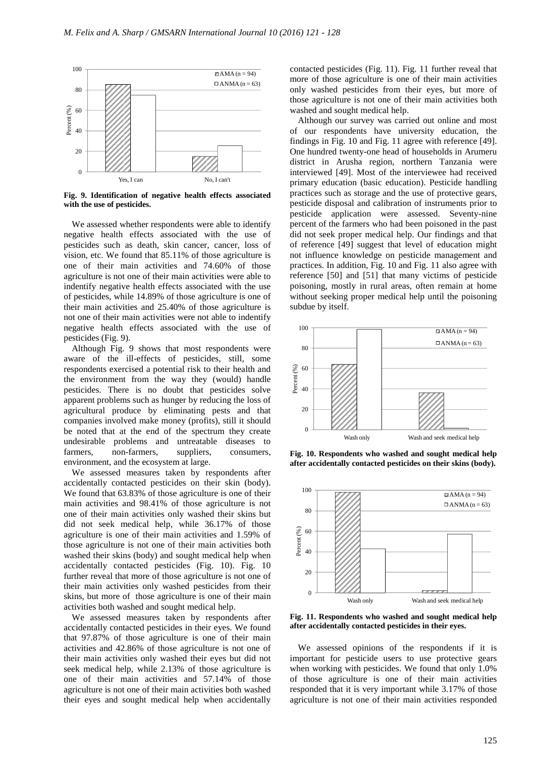

**Fig. 9. Identification of negative health effects associated with the use of pesticides.** 

We assessed whether respondents were able to identify negative health effects associated with the use of pesticides such as death, skin cancer, cancer, loss of vision, etc. We found that 85.11% of those agriculture is one of their main activities and 74.60% of those agriculture is not one of their main activities were able to indentify negative health effects associated with the use of pesticides, while 14.89% of those agriculture is one of their main activities and 25.40% of those agriculture is not one of their main activities were not able to indentify negative health effects associated with the use of pesticides (Fig. 9).

Although Fig. 9 shows that most respondents were aware of the ill-effects of pesticides, still, some respondents exercised a potential risk to their health and the environment from the way they (would) handle pesticides. There is no doubt that pesticides solve apparent problems such as hunger by reducing the loss of agricultural produce by eliminating pests and that companies involved make money (profits), still it should be noted that at the end of the spectrum they create undesirable problems and untreatable diseases to farmers, non-farmers, suppliers, consumers, environment, and the ecosystem at large.

We assessed measures taken by respondents after accidentally contacted pesticides on their skin (body). We found that 63.83% of those agriculture is one of their main activities and 98.41% of those agriculture is not one of their main activities only washed their skins but did not seek medical help, while 36.17% of those agriculture is one of their main activities and 1.59% of those agriculture is not one of their main activities both washed their skins (body) and sought medical help when accidentally contacted pesticides (Fig. 10). Fig. 10 further reveal that more of those agriculture is not one of their main activities only washed pesticides from their skins, but more of those agriculture is one of their main activities both washed and sought medical help.

We assessed measures taken by respondents after accidentally contacted pesticides in their eyes. We found that 97.87% of those agriculture is one of their main activities and 42.86% of those agriculture is not one of their main activities only washed their eyes but did not seek medical help, while 2.13% of those agriculture is one of their main activities and 57.14% of those agriculture is not one of their main activities both washed their eyes and sought medical help when accidentally

contacted pesticides (Fig. 11). Fig. 11 further reveal that more of those agriculture is one of their main activities only washed pesticides from their eyes, but more of those agriculture is not one of their main activities both washed and sought medical help.

Although our survey was carried out online and most of our respondents have university education, the findings in Fig. 10 and Fig. 11 agree with reference [49]. One hundred twenty-one head of households in Arumeru district in Arusha region, northern Tanzania were interviewed [49]. Most of the interviewee had received primary education (basic education). Pesticide handling practices such as storage and the use of protective gears, pesticide disposal and calibration of instruments prior to pesticide application were assessed. Seventy-nine percent of the farmers who had been poisoned in the past did not seek proper medical help. Our findings and that of reference [49] suggest that level of education might not influence knowledge on pesticide management and practices. In addition, Fig. 10 and Fig. 11 also agree with reference [50] and [51] that many victims of pesticide poisoning, mostly in rural areas, often remain at home without seeking proper medical help until the poisoning subdue by itself.



**Fig. 10. Respondents who washed and sought medical help after accidentally contacted pesticides on their skins (body).** 



**Fig. 11. Respondents who washed and sought medical help after accidentally contacted pesticides in their eyes.** 

We assessed opinions of the respondents if it is important for pesticide users to use protective gears when working with pesticides. We found that only 1.0% of those agriculture is one of their main activities responded that it is very important while 3.17% of those agriculture is not one of their main activities responded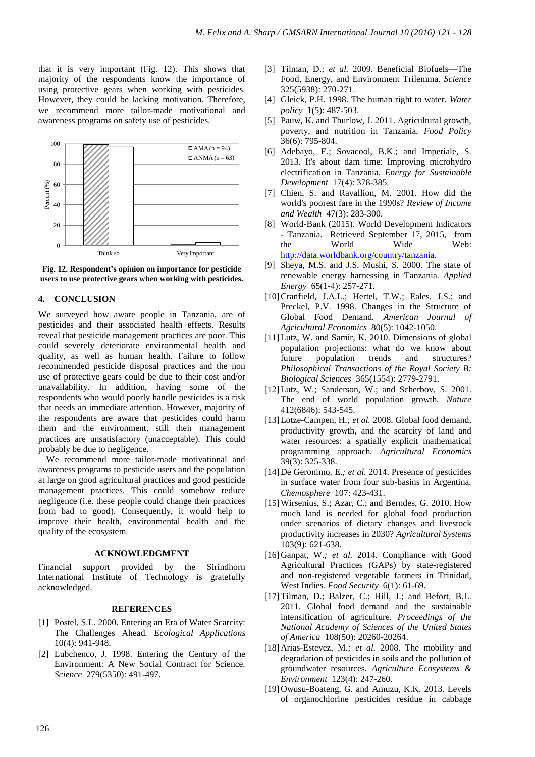that it is very important (Fig. 12). This shows that majority of the respondents know the importance of using protective gears when working with pesticides. However, they could be lacking motivation. Therefore, we recommend more tailor-made motivational and awareness programs on safety use of pesticides.





# **4. CONCLUSION**

We surveyed how aware people in Tanzania, are of pesticides and their associated health effects. Results reveal that pesticide management practices are poor. This could severely deteriorate environmental health and quality, as well as human health. Failure to follow recommended pesticide disposal practices and the non use of protective gears could be due to their cost and/or unavailability. In addition, having some of the respondents who would poorly handle pesticides is a risk that needs an immediate attention. However, majority of the respondents are aware that pesticides could harm them and the environment, still their management practices are unsatisfactory (unacceptable). This could probably be due to negligence.

We recommend more tailor-made motivational and awareness programs to pesticide users and the population at large on good agricultural practices and good pesticide management practices. This could somehow reduce negligence (i.e. these people could change their practices from bad to good). Consequently, it would help to improve their health, environmental health and the quality of the ecosystem.

#### **ACKNOWLEDGMENT**

Financial support provided by the Sirindhorn International Institute of Technology is gratefully acknowledged.

#### **REFERENCES**

- [1] Postel, S.L. 2000. Entering an Era of Water Scarcity: The Challenges Ahead*. Ecological Applications* 10(4): 941-948.
- [2] Lubchenco, J. 1998. Entering the Century of the Environment: A New Social Contract for Science*. Science* 279(5350): 491-497.
- [3] Tilman, D.*; et al.* 2009. Beneficial Biofuels—The Food, Energy, and Environment Trilemma*. Science* 325(5938): 270-271.
- [4] Gleick, P.H. 1998. The human right to water*. Water policy* 1(5): 487-503.
- [5] Pauw, K. and Thurlow, J. 2011. Agricultural growth, poverty, and nutrition in Tanzania*. Food Policy* 36(6): 795-804.
- [6] Adebayo, E.; Sovacool, B.K.; and Imperiale, S. 2013. It's about dam time: Improving microhydro electrification in Tanzania*. Energy for Sustainable Development* 17(4): 378-385.
- [7] Chien, S. and Ravallion, M. 2001. How did the world's poorest fare in the 1990s? *Review of Income and Wealth* 47(3): 283-300.
- [8] World-Bank (2015). World Development Indicators - Tanzania. Retrieved September 17, 2015, from the World Wide Web: http://data.worldbank.org/country/tanzania.
- [9] Sheya, M.S. and J.S. Mushi, S. 2000. The state of renewable energy harnessing in Tanzania*. Applied Energy* 65(1-4): 257-271.
- [10]Cranfield, J.A.L.; Hertel, T.W.; Eales, J.S.; and Preckel, P.V. 1998. Changes in the Structure of Global Food Demand*. American Journal of Agricultural Economics* 80(5): 1042-1050.
- [11] Lutz, W. and Samir, K. 2010. Dimensions of global population projections: what do we know about future population trends and structures? *Philosophical Transactions of the Royal Society B: Biological Sciences* 365(1554): 2779-2791.
- [12] Lutz, W.; Sanderson, W.; and Scherbov, S. 2001. The end of world population growth*. Nature* 412(6846): 543-545.
- [13]Lotze-Campen, H.*; et al.* 2008. Global food demand, productivity growth, and the scarcity of land and water resources: a spatially explicit mathematical programming approach*. Agricultural Economics* 39(3): 325-338.
- [14]De Geronimo, E.*; et al.* 2014. Presence of pesticides in surface water from four sub-basins in Argentina*. Chemosphere* 107: 423-431.
- [15]Wirsenius, S.; Azar, C.; and Berndes, G. 2010. How much land is needed for global food production under scenarios of dietary changes and livestock productivity increases in 2030? *Agricultural Systems* 103(9): 621-638.
- [16]Ganpat, W.; et al. 2014. Compliance with Good Agricultural Practices (GAPs) by state-registered and non-registered vegetable farmers in Trinidad, West Indies*. Food Security* 6(1): 61-69.
- [17]Tilman, D.; Balzer, C.; Hill, J.; and Befort, B.L. 2011. Global food demand and the sustainable intensification of agriculture*. Proceedings of the National Academy of Sciences of the United States of America* 108(50): 20260-20264.
- [18]Arias-Estevez, M.*; et al.* 2008. The mobility and degradation of pesticides in soils and the pollution of groundwater resources*. Agriculture Ecosystems & Environment* 123(4): 247-260.
- [19] Owusu-Boateng, G. and Amuzu, K.K. 2013. Levels of organochlorine pesticides residue in cabbage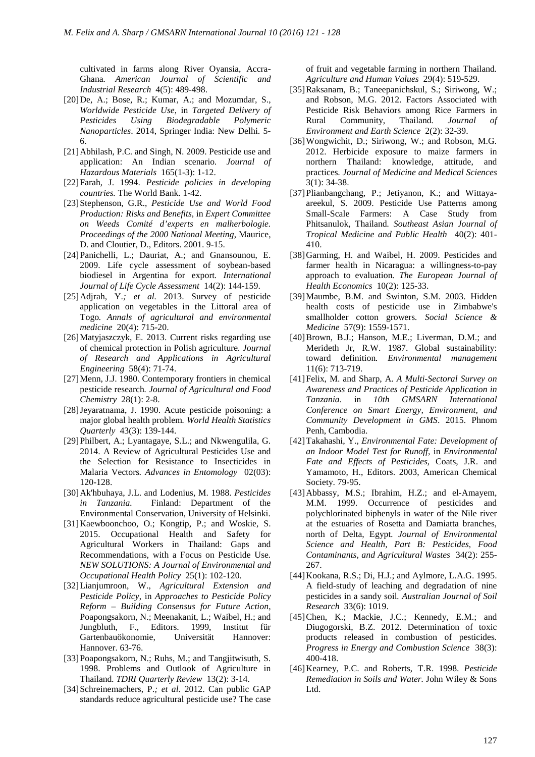cultivated in farms along River Oyansia, Accra-Ghana*. American Journal of Scientific and Industrial Research* 4(5): 489-498.

- [20]De, A.; Bose, R.; Kumar, A.; and Mozumdar, S., *Worldwide Pesticide Use*, in *Targeted Delivery of Pesticides Using Biodegradable Polymeric Nanoparticles*. 2014, Springer India: New Delhi. 5- 6.
- [21] Abhilash, P.C. and Singh, N. 2009. Pesticide use and application: An Indian scenario*. Journal of Hazardous Materials* 165(1-3): 1-12.
- [22]Farah, J. 1994. *Pesticide policies in developing countries.* The World Bank. 1-42.
- [23]Stephenson, G.R., *Pesticide Use and World Food Production: Risks and Benefits*, in *Expert Committee on Weeds Comité d'experts en malherbologie. Proceedings of the 2000 National Meeting*, Maurice, D. and Cloutier, D., Editors. 2001. 9-15.
- [24]Panichelli, L.; Dauriat, A.; and Gnansounou, E. 2009. Life cycle assessment of soybean-based biodiesel in Argentina for export*. International Journal of Life Cycle Assessment* 14(2): 144-159.
- [25]Adjrah, Y.*; et al.* 2013. Survey of pesticide application on vegetables in the Littoral area of Togo*. Annals of agricultural and environmental medicine* 20(4): 715-20.
- [26]Matyjaszczyk, E. 2013. Current risks regarding use of chemical protection in Polish agriculture*. Journal of Research and Applications in Agricultural Engineering* 58(4): 71-74.
- [27]Menn, J.J. 1980. Contemporary frontiers in chemical pesticide research*. Journal of Agricultural and Food Chemistry* 28(1): 2-8.
- [28]Jeyaratnama, J. 1990. Acute pesticide poisoning: a major global health problem*. World Health Statistics Quarterly* 43(3): 139-144.
- [29]Philbert, A.; Lyantagaye, S.L.; and Nkwengulila, G. 2014. A Review of Agricultural Pesticides Use and the Selection for Resistance to Insecticides in Malaria Vectors*. Advances in Entomology* 02(03): 120-128.
- [30]Ak'hbuhaya, J.L. and Lodenius, M. 1988. *Pesticides in Tanzania.* Finland: Department of the Environmental Conservation, University of Helsinki.
- [31]Kaewboonchoo, O.; Kongtip, P.; and Woskie, S. 2015. Occupational Health and Safety for Agricultural Workers in Thailand: Gaps and Recommendations, with a Focus on Pesticide Use*. NEW SOLUTIONS: A Journal of Environmental and Occupational Health Policy* 25(1): 102-120.
- [32]Lianjumroon, W., *Agricultural Extension and Pesticide Policy*, in *Approaches to Pesticide Policy Reform – Building Consensus for Future Action*, Poapongsakorn, N.; Meenakanit, L.; Waibel, H.; and Jungbluth, F., Editors. 1999, Institut für Gartenbauökonomie, Universität Hannover: Hannover. 63-76.
- [33] Poapongsakorn, N.; Ruhs, M.; and Tangjitwisuth, S. 1998. Problems and Outlook of Agriculture in Thailand*. TDRI Quarterly Review* 13(2): 3-14.
- [34]Schreinemachers, P.*; et al.* 2012. Can public GAP standards reduce agricultural pesticide use? The case

of fruit and vegetable farming in northern Thailand*. Agriculture and Human Values* 29(4): 519-529.

- [35]Raksanam, B.; Taneepanichskul, S.; Siriwong, W.; and Robson, M.G. 2012. Factors Associated with Pesticide Risk Behaviors among Rice Farmers in Rural Community, Thailand*. Journal of Environment and Earth Science* 2(2): 32-39.
- [36]Wongwichit, D.; Siriwong, W.; and Robson, M.G. 2012. Herbicide exposure to maize farmers in northern Thailand: knowledge, attitude, and practices*. Journal of Medicine and Medical Sciences* 3(1): 34-38.
- [37]Plianbangchang, P.; Jetiyanon, K.; and Wittayaareekul, S. 2009. Pesticide Use Patterns among Small-Scale Farmers: A Case Study from Phitsanulok, Thailand*. Southeast Asian Journal of Tropical Medicine and Public Health* 40(2): 401- 410.
- [38]Garming, H. and Waibel, H. 2009. Pesticides and farmer health in Nicaragua: a willingness-to-pay approach to evaluation*. The European Journal of Health Economics* 10(2): 125-33.
- [39]Maumbe, B.M. and Swinton, S.M. 2003. Hidden health costs of pesticide use in Zimbabwe's smallholder cotton growers*. Social Science & Medicine* 57(9): 1559-1571.
- [40]Brown, B.J.; Hanson, M.E.; Liverman, D.M.; and Merideth Jr, R.W. 1987. Global sustainability: toward definition*. Environmental management* 11(6): 713-719.
- [41]Felix, M. and Sharp, A. *A Multi-Sectoral Survey on Awareness and Practices of Pesticide Application in Tanzania*. in *10th GMSARN International Conference on Smart Energy, Environment, and Community Development in GMS*. 2015. Phnom Penh, Cambodia.
- [42]Takahashi, Y., *Environmental Fate: Development of an Indoor Model Test for Runoff*, in *Environmental Fate and Effects of Pesticides*, Coats, J.R. and Yamamoto, H., Editors. 2003, American Chemical Society. 79-95.
- [43]Abbassy, M.S.; Ibrahim, H.Z.; and el-Amayem, M.M. 1999. Occurrence of pesticides and polychlorinated biphenyls in water of the Nile river at the estuaries of Rosetta and Damiatta branches, north of Delta, Egypt*. Journal of Environmental Science and Health, Part B: Pesticides, Food Contaminants, and Agricultural Wastes* 34(2): 255- 267.
- [44] Kookana, R.S.; Di, H.J.; and Aylmore, L.A.G. 1995. A field-study of leaching and degradation of nine pesticides in a sandy soil*. Australian Journal of Soil Research* 33(6): 1019.
- [45]Chen, K.; Mackie, J.C.; Kennedy, E.M.; and Diugogorski, B.Z. 2012. Determination of toxic products released in combustion of pesticides*. Progress in Energy and Combustion Science* 38(3): 400-418.
- [46]Kearney, P.C. and Roberts, T.R. 1998. *Pesticide Remediation in Soils and Water.* John Wiley & Sons Ltd.